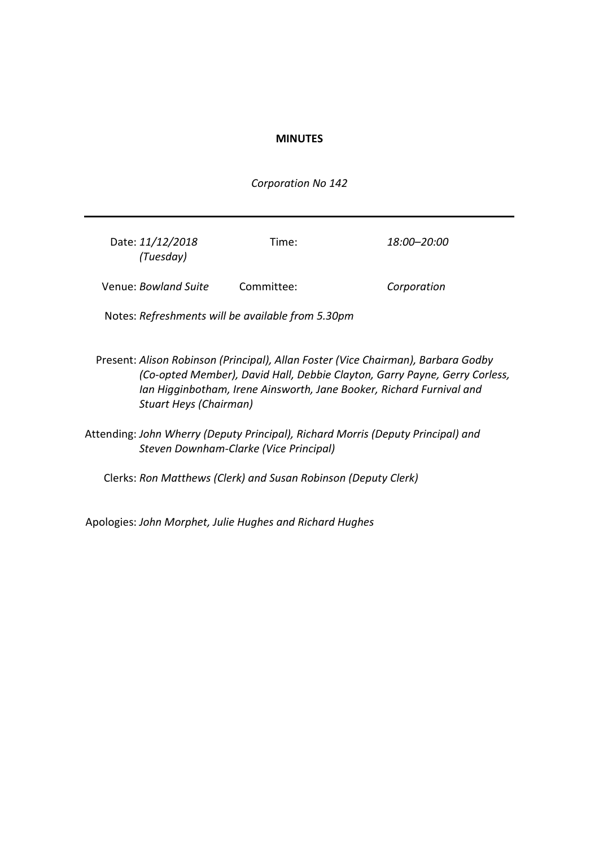## **MINUTES**

*Corporation No 142*

| Date: 11/12/2018<br>(Tuesday) | Time:      | 18:00–20:00 |
|-------------------------------|------------|-------------|
| Venue: Bowland Suite          | Committee: | Corporation |

Notes: *Refreshments will be available from 5.30pm*

- Present: *Alison Robinson (Principal), Allan Foster (Vice Chairman), Barbara Godby (Co-opted Member), David Hall, Debbie Clayton, Garry Payne, Gerry Corless, Ian Higginbotham, Irene Ainsworth, Jane Booker, Richard Furnival and Stuart Heys (Chairman)*
- Attending: *John Wherry (Deputy Principal), Richard Morris (Deputy Principal) and Steven Downham-Clarke (Vice Principal)*

Clerks: *Ron Matthews (Clerk) and Susan Robinson (Deputy Clerk)*

Apologies: *John Morphet, Julie Hughes and Richard Hughes*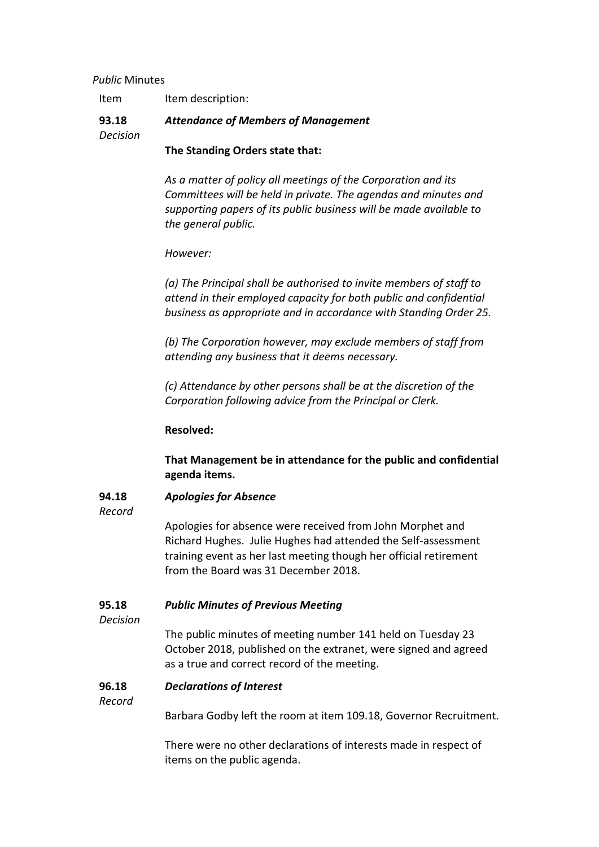## *Public* Minutes

| Item description:<br>Item |  |
|---------------------------|--|
|---------------------------|--|

#### **93.18** *Attendance of Members of Management*

*Decision*

**The Standing Orders state that:**

*As a matter of policy all meetings of the Corporation and its Committees will be held in private. The agendas and minutes and supporting papers of its public business will be made available to the general public.*

# *However:*

*(a) The Principal shall be authorised to invite members of staff to attend in their employed capacity for both public and confidential business as appropriate and in accordance with Standing Order 25.*

*(b) The Corporation however, may exclude members of staff from attending any business that it deems necessary.*

*(c) Attendance by other persons shall be at the discretion of the Corporation following advice from the Principal or Clerk.*

# **Resolved:**

**That Management be in attendance for the public and confidential agenda items.**

#### **94.18** *Apologies for Absence*

*Record*

Apologies for absence were received from John Morphet and Richard Hughes. Julie Hughes had attended the Self-assessment training event as her last meeting though her official retirement from the Board was 31 December 2018.

#### **95.18** *Public Minutes of Previous Meeting*

*Decision*

The public minutes of meeting number 141 held on Tuesday 23 October 2018, published on the extranet, were signed and agreed as a true and correct record of the meeting.

### **96.18** *Declarations of Interest*

# *Record*

Barbara Godby left the room at item 109.18, Governor Recruitment.

There were no other declarations of interests made in respect of items on the public agenda.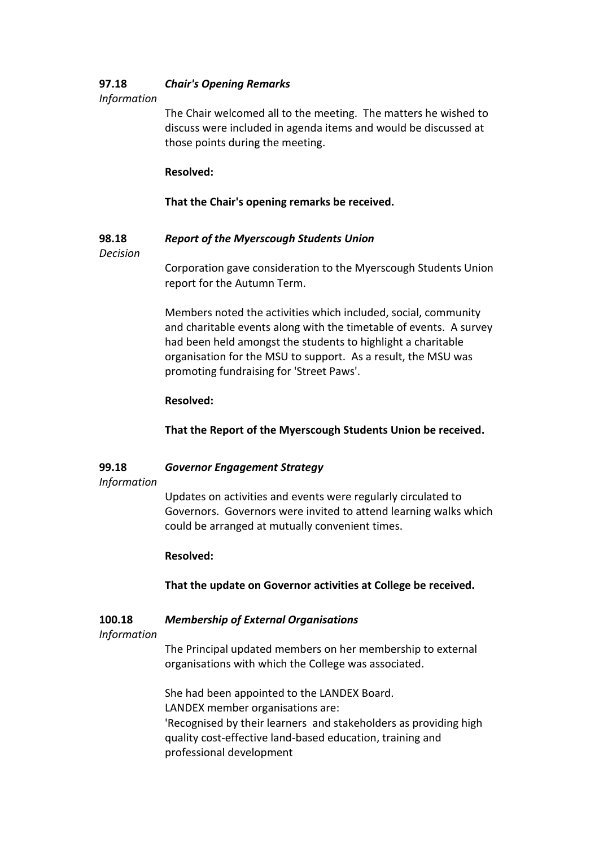#### **97.18** *Chair's Opening Remarks*

# *Information*

The Chair welcomed all to the meeting. The matters he wished to discuss were included in agenda items and would be discussed at those points during the meeting.

# **Resolved:**

# **That the Chair's opening remarks be received.**

#### **98.18** *Report of the Myerscough Students Union*

*Decision*

Corporation gave consideration to the Myerscough Students Union report for the Autumn Term.

Members noted the activities which included, social, community and charitable events along with the timetable of events. A survey had been held amongst the students to highlight a charitable organisation for the MSU to support. As a result, the MSU was promoting fundraising for 'Street Paws'.

# **Resolved:**

**That the Report of the Myerscough Students Union be received.**

#### **99.18** *Governor Engagement Strategy*

# *Information*

Updates on activities and events were regularly circulated to Governors. Governors were invited to attend learning walks which could be arranged at mutually convenient times.

# **Resolved:**

**That the update on Governor activities at College be received.**

### **100.18** *Membership of External Organisations*

# *Information*

The Principal updated members on her membership to external organisations with which the College was associated.

She had been appointed to the LANDEX Board. LANDEX member organisations are: 'Recognised by their learners and stakeholders as providing high quality cost-effective land-based education, training and professional development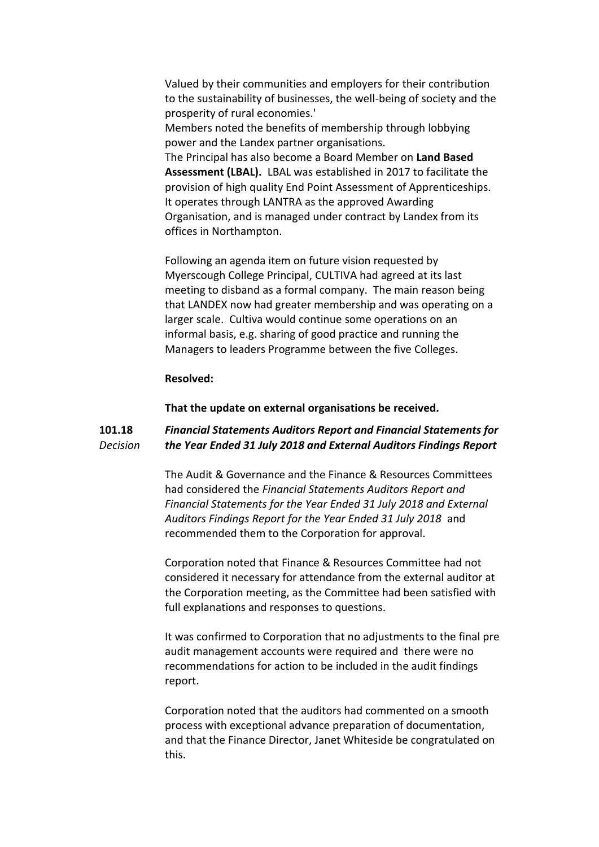Valued by their communities and employers for their contribution to the sustainability of businesses, the well-being of society and the prosperity of rural economies.' Members noted the benefits of membership through lobbying power and the Landex partner organisations. The Principal has also become a Board Member on **Land Based Assessment (LBAL).** LBAL was established in 2017 to facilitate the provision of high quality End Point Assessment of Apprenticeships. It operates through LANTRA as the approved Awarding Organisation, and is managed under contract by Landex from its offices in Northampton.

Following an agenda item on future vision requested by Myerscough College Principal, CULTIVA had agreed at its last meeting to disband as a formal company. The main reason being that LANDEX now had greater membership and was operating on a larger scale. Cultiva would continue some operations on an informal basis, e.g. sharing of good practice and running the Managers to leaders Programme between the five Colleges.

## **Resolved:**

**That the update on external organisations be received.**

#### **101.18** *Decision Financial Statements Auditors Report and Financial Statements for the Year Ended 31 July 2018 and External Auditors Findings Report*

The Audit & Governance and the Finance & Resources Committees had considered the *Financial Statements Auditors Report and Financial Statements for the Year Ended 31 July 2018 and External Auditors Findings Report for the Year Ended 31 July 2018* and recommended them to the Corporation for approval.

Corporation noted that Finance & Resources Committee had not considered it necessary for attendance from the external auditor at the Corporation meeting, as the Committee had been satisfied with full explanations and responses to questions.

It was confirmed to Corporation that no adjustments to the final pre audit management accounts were required and there were no recommendations for action to be included in the audit findings report.

Corporation noted that the auditors had commented on a smooth process with exceptional advance preparation of documentation, and that the Finance Director, Janet Whiteside be congratulated on this.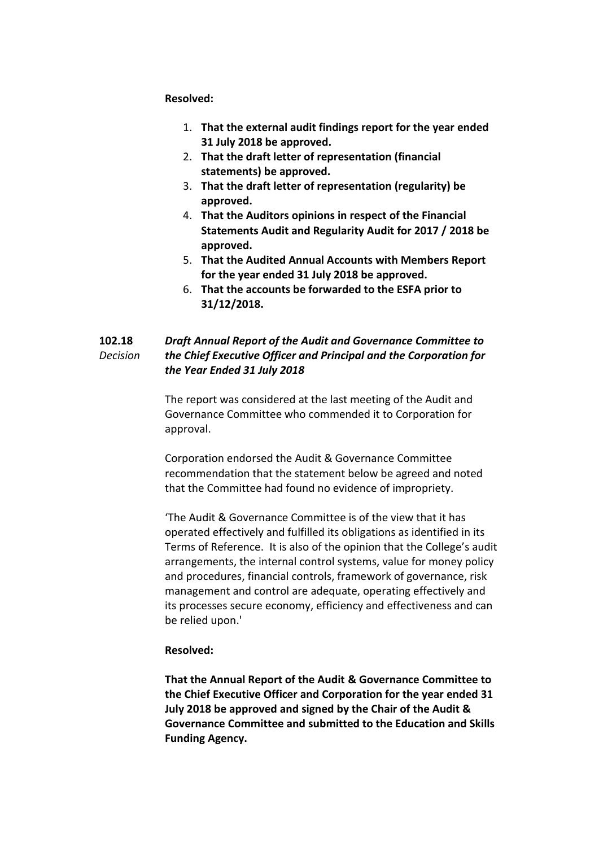## **Resolved:**

- 1. **That the external audit findings report for the year ended 31 July 2018 be approved.**
- 2. **That the draft letter of representation (financial statements) be approved.**
- 3. **That the draft letter of representation (regularity) be approved.**
- 4. **That the Auditors opinions in respect of the Financial Statements Audit and Regularity Audit for 2017 / 2018 be approved.**
- 5. **That the Audited Annual Accounts with Members Report for the year ended 31 July 2018 be approved.**
- 6. **That the accounts be forwarded to the ESFA prior to 31/12/2018.**

### **102.18** *Decision Draft Annual Report of the Audit and Governance Committee to the Chief Executive Officer and Principal and the Corporation for the Year Ended 31 July 2018*

The report was considered at the last meeting of the Audit and Governance Committee who commended it to Corporation for approval.

Corporation endorsed the Audit & Governance Committee recommendation that the statement below be agreed and noted that the Committee had found no evidence of impropriety.

'The Audit & Governance Committee is of the view that it has operated effectively and fulfilled its obligations as identified in its Terms of Reference. It is also of the opinion that the College's audit arrangements, the internal control systems, value for money policy and procedures, financial controls, framework of governance, risk management and control are adequate, operating effectively and its processes secure economy, efficiency and effectiveness and can be relied upon.'

## **Resolved:**

**That the Annual Report of the Audit & Governance Committee to the Chief Executive Officer and Corporation for the year ended 31 July 2018 be approved and signed by the Chair of the Audit & Governance Committee and submitted to the Education and Skills Funding Agency.**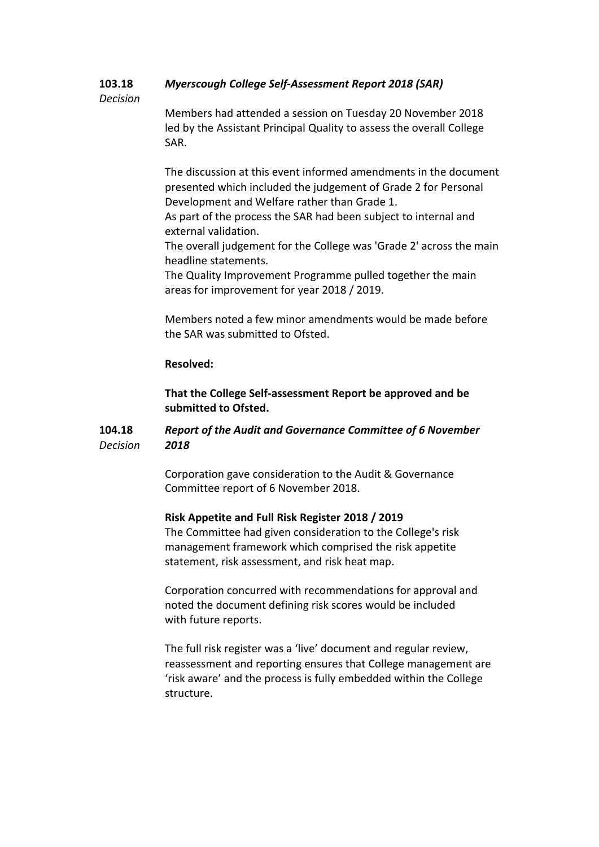#### **103.18** *Myerscough College Self-Assessment Report 2018 (SAR)*

## *Decision*

Members had attended a session on Tuesday 20 November 2018 led by the Assistant Principal Quality to assess the overall College SAR.

The discussion at this event informed amendments in the document presented which included the judgement of Grade 2 for Personal Development and Welfare rather than Grade 1.

As part of the process the SAR had been subject to internal and external validation.

The overall judgement for the College was 'Grade 2' across the main headline statements.

The Quality Improvement Programme pulled together the main areas for improvement for year 2018 / 2019.

Members noted a few minor amendments would be made before the SAR was submitted to Ofsted.

## **Resolved:**

**That the College Self-assessment Report be approved and be submitted to Ofsted.**

#### **104.18** *Decision Report of the Audit and Governance Committee of 6 November 2018*

Corporation gave consideration to the Audit & Governance Committee report of 6 November 2018.

# **Risk Appetite and Full Risk Register 2018 / 2019**

The Committee had given consideration to the College's risk management framework which comprised the risk appetite statement, risk assessment, and risk heat map.

Corporation concurred with recommendations for approval and noted the document defining risk scores would be included with future reports.

The full risk register was a 'live' document and regular review, reassessment and reporting ensures that College management are 'risk aware' and the process is fully embedded within the College structure.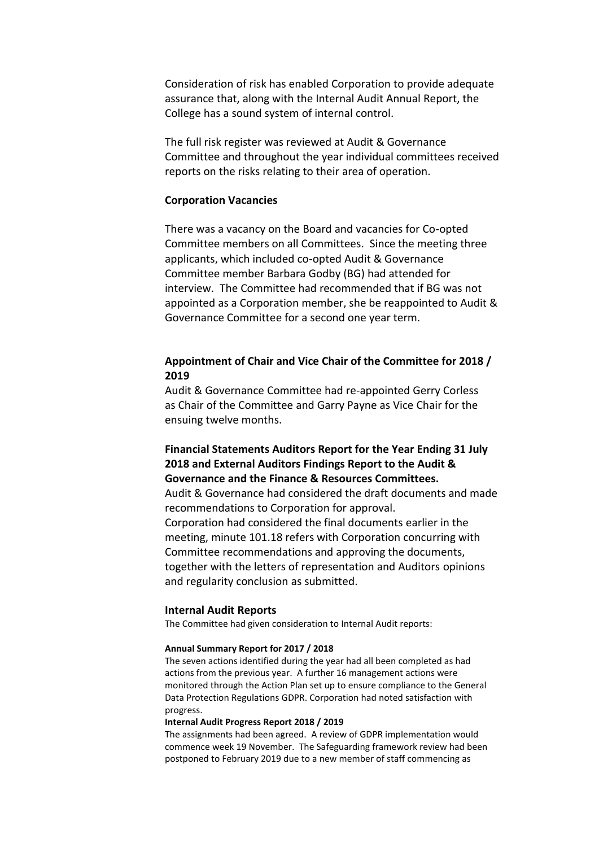Consideration of risk has enabled Corporation to provide adequate assurance that, along with the Internal Audit Annual Report, the College has a sound system of internal control.

The full risk register was reviewed at Audit & Governance Committee and throughout the year individual committees received reports on the risks relating to their area of operation.

### **Corporation Vacancies**

There was a vacancy on the Board and vacancies for Co-opted Committee members on all Committees. Since the meeting three applicants, which included co-opted Audit & Governance Committee member Barbara Godby (BG) had attended for interview. The Committee had recommended that if BG was not appointed as a Corporation member, she be reappointed to Audit & Governance Committee for a second one year term.

# **Appointment of Chair and Vice Chair of the Committee for 2018 / 2019**

Audit & Governance Committee had re-appointed Gerry Corless as Chair of the Committee and Garry Payne as Vice Chair for the ensuing twelve months.

# **Financial Statements Auditors Report for the Year Ending 31 July 2018 and External Auditors Findings Report to the Audit & Governance and the Finance & Resources Committees.**

Audit & Governance had considered the draft documents and made recommendations to Corporation for approval. Corporation had considered the final documents earlier in the meeting, minute 101.18 refers with Corporation concurring with Committee recommendations and approving the documents, together with the letters of representation and Auditors opinions and regularity conclusion as submitted.

### **Internal Audit Reports**

The Committee had given consideration to Internal Audit reports:

### **Annual Summary Report for 2017 / 2018**

The seven actions identified during the year had all been completed as had actions from the previous year. A further 16 management actions were monitored through the Action Plan set up to ensure compliance to the General Data Protection Regulations GDPR. Corporation had noted satisfaction with progress.

### **Internal Audit Progress Report 2018 / 2019**

The assignments had been agreed. A review of GDPR implementation would commence week 19 November. The Safeguarding framework review had been postponed to February 2019 due to a new member of staff commencing as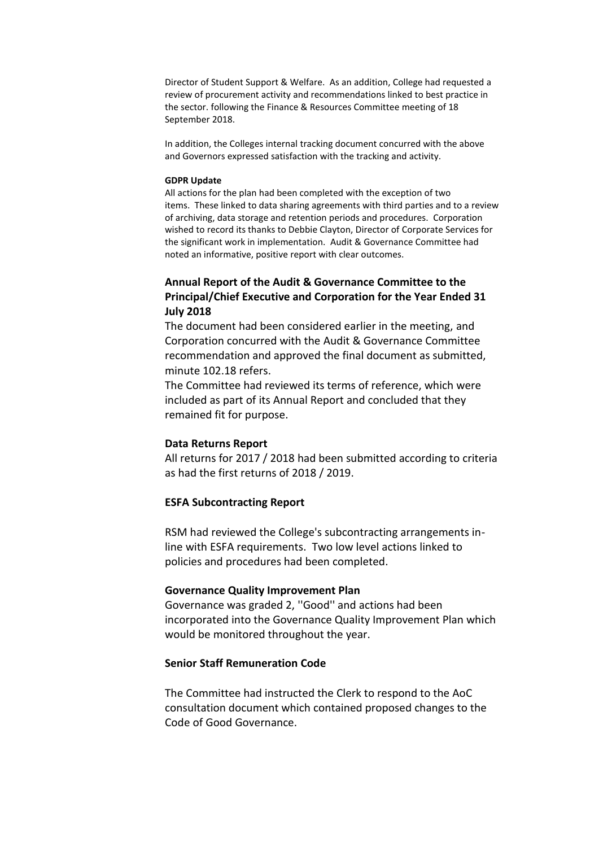Director of Student Support & Welfare. As an addition, College had requested a review of procurement activity and recommendations linked to best practice in the sector. following the Finance & Resources Committee meeting of 18 September 2018.

In addition, the Colleges internal tracking document concurred with the above and Governors expressed satisfaction with the tracking and activity.

### **GDPR Update**

All actions for the plan had been completed with the exception of two items. These linked to data sharing agreements with third parties and to a review of archiving, data storage and retention periods and procedures. Corporation wished to record its thanks to Debbie Clayton, Director of Corporate Services for the significant work in implementation. Audit & Governance Committee had noted an informative, positive report with clear outcomes.

# **Annual Report of the Audit & Governance Committee to the Principal/Chief Executive and Corporation for the Year Ended 31 July 2018**

The document had been considered earlier in the meeting, and Corporation concurred with the Audit & Governance Committee recommendation and approved the final document as submitted, minute 102.18 refers.

The Committee had reviewed its terms of reference, which were included as part of its Annual Report and concluded that they remained fit for purpose.

### **Data Returns Report**

All returns for 2017 / 2018 had been submitted according to criteria as had the first returns of 2018 / 2019.

## **ESFA Subcontracting Report**

RSM had reviewed the College's subcontracting arrangements inline with ESFA requirements. Two low level actions linked to policies and procedures had been completed.

### **Governance Quality Improvement Plan**

Governance was graded 2, ''Good'' and actions had been incorporated into the Governance Quality Improvement Plan which would be monitored throughout the year.

## **Senior Staff Remuneration Code**

The Committee had instructed the Clerk to respond to the AoC consultation document which contained proposed changes to the Code of Good Governance.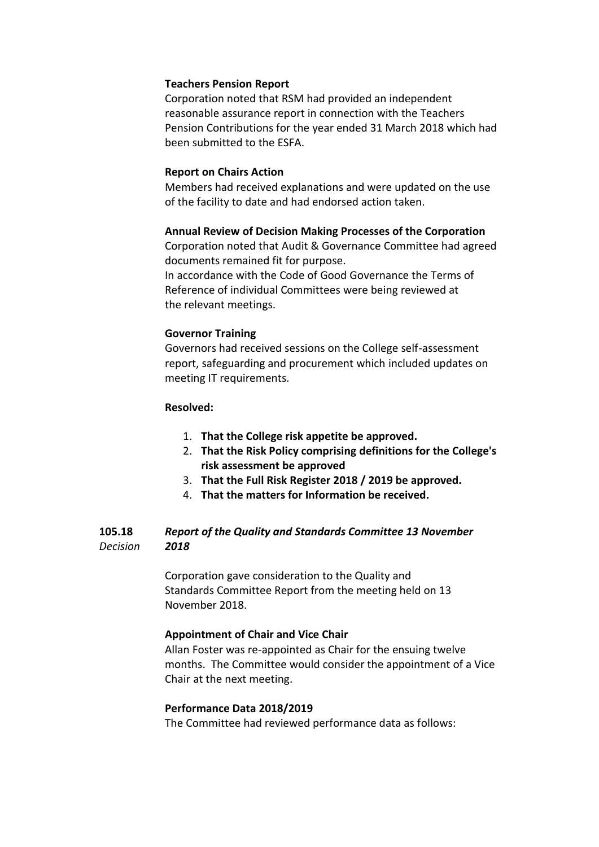## **Teachers Pension Report**

Corporation noted that RSM had provided an independent reasonable assurance report in connection with the Teachers Pension Contributions for the year ended 31 March 2018 which had been submitted to the ESFA.

## **Report on Chairs Action**

Members had received explanations and were updated on the use of the facility to date and had endorsed action taken.

## **Annual Review of Decision Making Processes of the Corporation**

Corporation noted that Audit & Governance Committee had agreed documents remained fit for purpose. In accordance with the Code of Good Governance the Terms of Reference of individual Committees were being reviewed at the relevant meetings.

# **Governor Training**

Governors had received sessions on the College self-assessment report, safeguarding and procurement which included updates on meeting IT requirements.

## **Resolved:**

- 1. **That the College risk appetite be approved.**
- 2. **That the Risk Policy comprising definitions for the College's risk assessment be approved**
- 3. **That the Full Risk Register 2018 / 2019 be approved.**
- 4. **That the matters for Information be received.**

#### **105.18** *Decision Report of the Quality and Standards Committee 13 November 2018*

Corporation gave consideration to the Quality and Standards Committee Report from the meeting held on 13 November 2018.

# **Appointment of Chair and Vice Chair**

Allan Foster was re-appointed as Chair for the ensuing twelve months. The Committee would consider the appointment of a Vice Chair at the next meeting.

# **Performance Data 2018/2019**

The Committee had reviewed performance data as follows: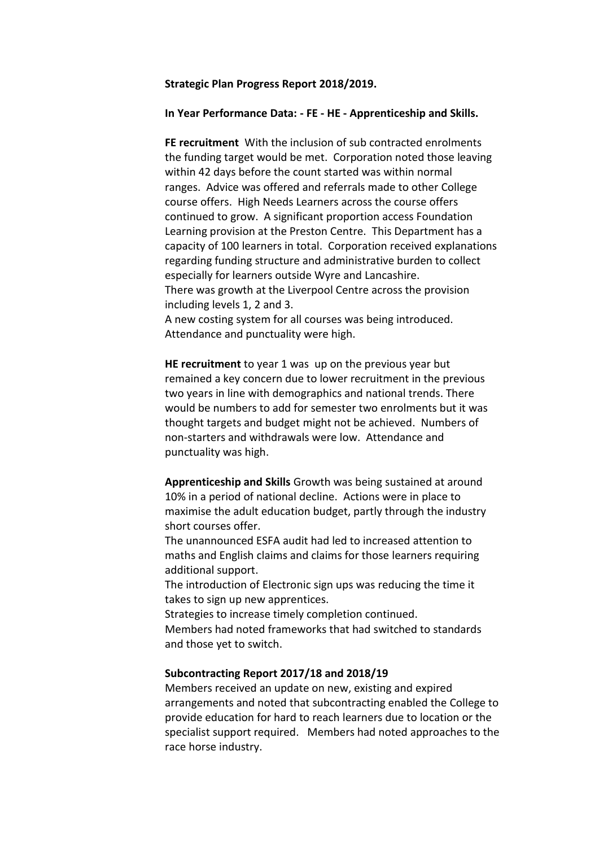### **Strategic Plan Progress Report 2018/2019.**

### **In Year Performance Data: - FE - HE - Apprenticeship and Skills.**

**FE recruitment** With the inclusion of sub contracted enrolments the funding target would be met. Corporation noted those leaving within 42 days before the count started was within normal ranges. Advice was offered and referrals made to other College course offers. High Needs Learners across the course offers continued to grow. A significant proportion access Foundation Learning provision at the Preston Centre. This Department has a capacity of 100 learners in total. Corporation received explanations regarding funding structure and administrative burden to collect especially for learners outside Wyre and Lancashire. There was growth at the Liverpool Centre across the provision

including levels 1, 2 and 3.

A new costing system for all courses was being introduced. Attendance and punctuality were high.

**HE recruitment** to year 1 was up on the previous year but remained a key concern due to lower recruitment in the previous two years in line with demographics and national trends. There would be numbers to add for semester two enrolments but it was thought targets and budget might not be achieved. Numbers of non-starters and withdrawals were low. Attendance and punctuality was high.

**Apprenticeship and Skills** Growth was being sustained at around 10% in a period of national decline. Actions were in place to maximise the adult education budget, partly through the industry short courses offer.

The unannounced ESFA audit had led to increased attention to maths and English claims and claims for those learners requiring additional support.

The introduction of Electronic sign ups was reducing the time it takes to sign up new apprentices.

Strategies to increase timely completion continued. Members had noted frameworks that had switched to standards and those yet to switch.

### **Subcontracting Report 2017/18 and 2018/19**

Members received an update on new, existing and expired arrangements and noted that subcontracting enabled the College to provide education for hard to reach learners due to location or the specialist support required. Members had noted approaches to the race horse industry.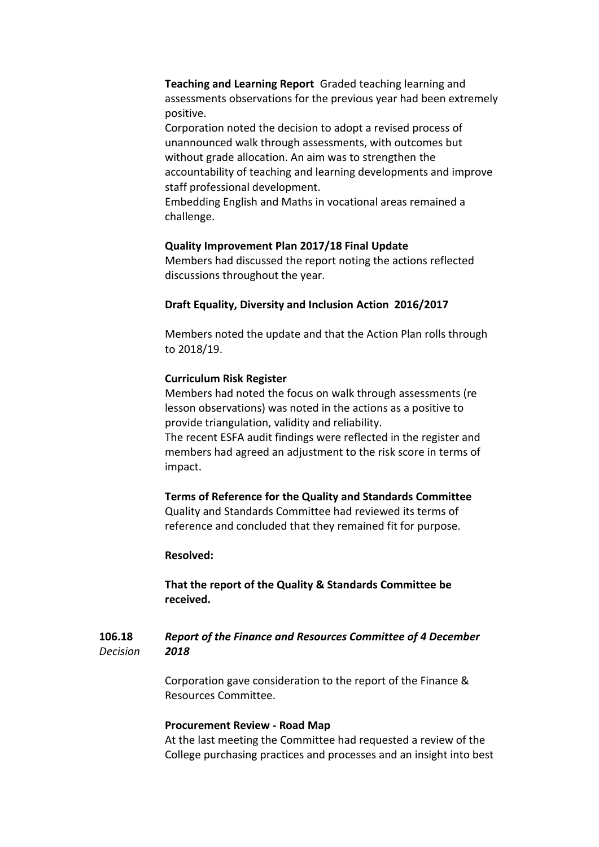**Teaching and Learning Report** Graded teaching learning and assessments observations for the previous year had been extremely positive.

Corporation noted the decision to adopt a revised process of unannounced walk through assessments, with outcomes but without grade allocation. An aim was to strengthen the accountability of teaching and learning developments and improve staff professional development.

Embedding English and Maths in vocational areas remained a challenge.

## **Quality Improvement Plan 2017/18 Final Update**

Members had discussed the report noting the actions reflected discussions throughout the year.

## **Draft Equality, Diversity and Inclusion Action 2016/2017**

Members noted the update and that the Action Plan rolls through to 2018/19.

## **Curriculum Risk Register**

Members had noted the focus on walk through assessments (re lesson observations) was noted in the actions as a positive to provide triangulation, validity and reliability.

The recent ESFA audit findings were reflected in the register and members had agreed an adjustment to the risk score in terms of impact.

## **Terms of Reference for the Quality and Standards Committee**

Quality and Standards Committee had reviewed its terms of reference and concluded that they remained fit for purpose.

## **Resolved:**

**That the report of the Quality & Standards Committee be received.**

#### **106.18** *Decision Report of the Finance and Resources Committee of 4 December 2018*

Corporation gave consideration to the report of the Finance & Resources Committee.

### **Procurement Review - Road Map**

At the last meeting the Committee had requested a review of the College purchasing practices and processes and an insight into best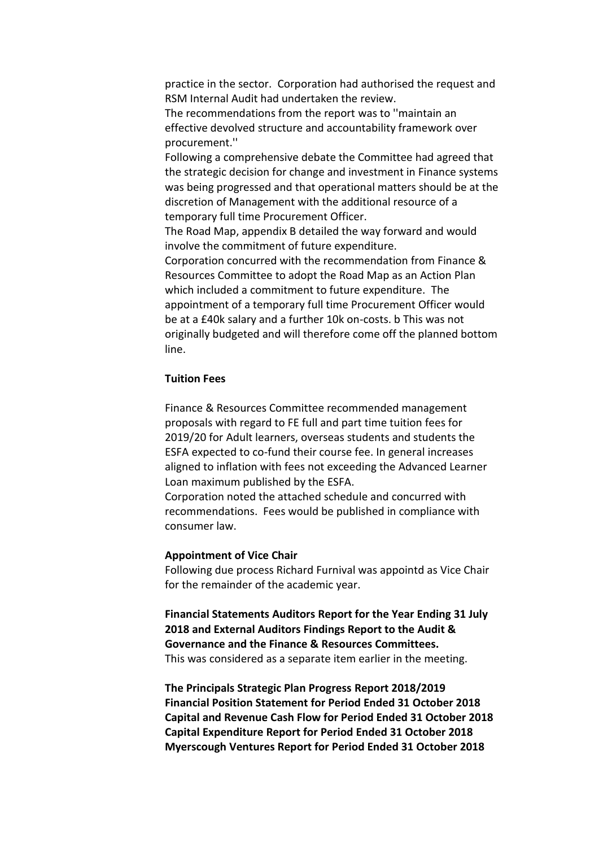practice in the sector. Corporation had authorised the request and RSM Internal Audit had undertaken the review.

The recommendations from the report was to ''maintain an effective devolved structure and accountability framework over procurement.''

Following a comprehensive debate the Committee had agreed that the strategic decision for change and investment in Finance systems was being progressed and that operational matters should be at the discretion of Management with the additional resource of a temporary full time Procurement Officer.

The Road Map, appendix B detailed the way forward and would involve the commitment of future expenditure.

Corporation concurred with the recommendation from Finance & Resources Committee to adopt the Road Map as an Action Plan which included a commitment to future expenditure. The appointment of a temporary full time Procurement Officer would be at a £40k salary and a further 10k on-costs. b This was not originally budgeted and will therefore come off the planned bottom line.

## **Tuition Fees**

Finance & Resources Committee recommended management proposals with regard to FE full and part time tuition fees for 2019/20 for Adult learners, overseas students and students the ESFA expected to co-fund their course fee. In general increases aligned to inflation with fees not exceeding the Advanced Learner Loan maximum published by the ESFA.

Corporation noted the attached schedule and concurred with recommendations. Fees would be published in compliance with consumer law.

### **Appointment of Vice Chair**

Following due process Richard Furnival was appointd as Vice Chair for the remainder of the academic year.

**Financial Statements Auditors Report for the Year Ending 31 July 2018 and External Auditors Findings Report to the Audit & Governance and the Finance & Resources Committees.** This was considered as a separate item earlier in the meeting.

**The Principals Strategic Plan Progress Report 2018/2019 Financial Position Statement for Period Ended 31 October 2018 Capital and Revenue Cash Flow for Period Ended 31 October 2018 Capital Expenditure Report for Period Ended 31 October 2018 Myerscough Ventures Report for Period Ended 31 October 2018**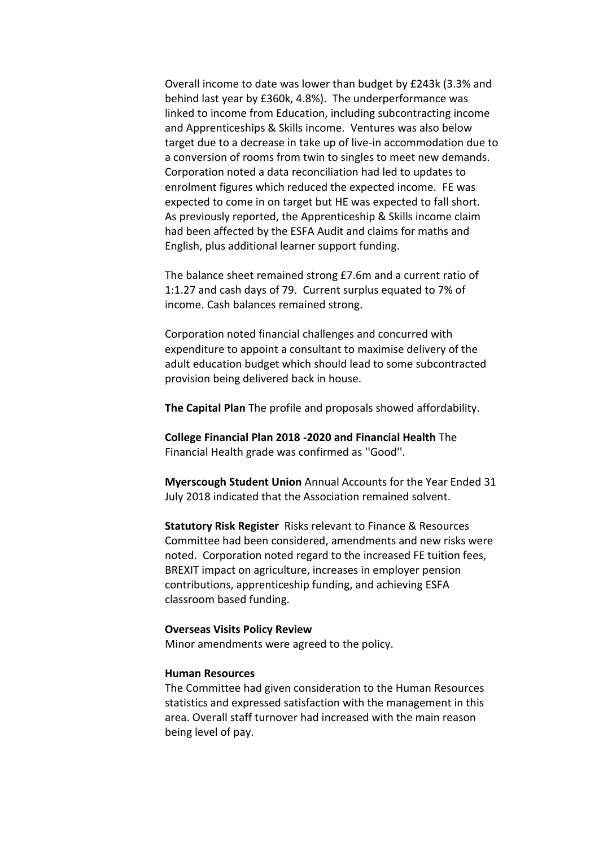Overall income to date was lower than budget by £243k (3.3% and behind last year by £360k, 4.8%). The underperformance was linked to income from Education, including subcontracting income and Apprenticeships & Skills income. Ventures was also below target due to a decrease in take up of live-in accommodation due to a conversion of rooms from twin to singles to meet new demands. Corporation noted a data reconciliation had led to updates to enrolment figures which reduced the expected income. FE was expected to come in on target but HE was expected to fall short. As previously reported, the Apprenticeship & Skills income claim had been affected by the ESFA Audit and claims for maths and English, plus additional learner support funding.

The balance sheet remained strong £7.6m and a current ratio of 1:1.27 and cash days of 79. Current surplus equated to 7% of income. Cash balances remained strong.

Corporation noted financial challenges and concurred with expenditure to appoint a consultant to maximise delivery of the adult education budget which should lead to some subcontracted provision being delivered back in house.

**The Capital Plan** The profile and proposals showed affordability.

**College Financial Plan 2018 -2020 and Financial Health** The Financial Health grade was confirmed as ''Good''.

**Myerscough Student Union** Annual Accounts for the Year Ended 31 July 2018 indicated that the Association remained solvent.

**Statutory Risk Register** Risks relevant to Finance & Resources Committee had been considered, amendments and new risks were noted. Corporation noted regard to the increased FE tuition fees, BREXIT impact on agriculture, increases in employer pension contributions, apprenticeship funding, and achieving ESFA classroom based funding.

### **Overseas Visits Policy Review**

Minor amendments were agreed to the policy.

### **Human Resources**

The Committee had given consideration to the Human Resources statistics and expressed satisfaction with the management in this area. Overall staff turnover had increased with the main reason being level of pay.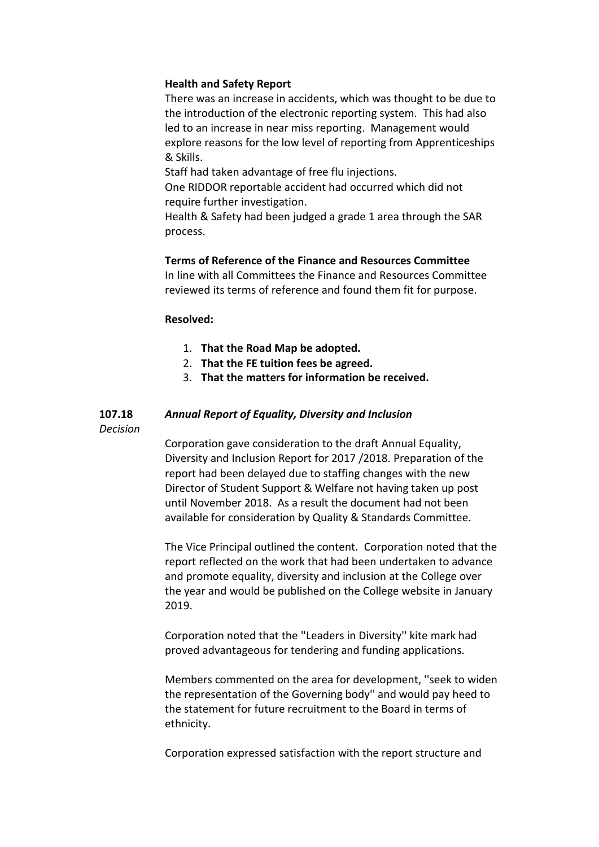## **Health and Safety Report**

There was an increase in accidents, which was thought to be due to the introduction of the electronic reporting system. This had also led to an increase in near miss reporting. Management would explore reasons for the low level of reporting from Apprenticeships & Skills.

Staff had taken advantage of free flu injections.

One RIDDOR reportable accident had occurred which did not require further investigation.

Health & Safety had been judged a grade 1 area through the SAR process.

# **Terms of Reference of the Finance and Resources Committee**

In line with all Committees the Finance and Resources Committee reviewed its terms of reference and found them fit for purpose.

## **Resolved:**

- 1. **That the Road Map be adopted.**
- 2. **That the FE tuition fees be agreed.**
- 3. **That the matters for information be received.**

#### **107.18** *Annual Report of Equality, Diversity and Inclusion*

*Decision*

Corporation gave consideration to the draft Annual Equality, Diversity and Inclusion Report for 2017 /2018. Preparation of the report had been delayed due to staffing changes with the new Director of Student Support & Welfare not having taken up post until November 2018. As a result the document had not been available for consideration by Quality & Standards Committee.

The Vice Principal outlined the content. Corporation noted that the report reflected on the work that had been undertaken to advance and promote equality, diversity and inclusion at the College over the year and would be published on the College website in January 2019.

Corporation noted that the ''Leaders in Diversity'' kite mark had proved advantageous for tendering and funding applications.

Members commented on the area for development, ''seek to widen the representation of the Governing body'' and would pay heed to the statement for future recruitment to the Board in terms of ethnicity.

Corporation expressed satisfaction with the report structure and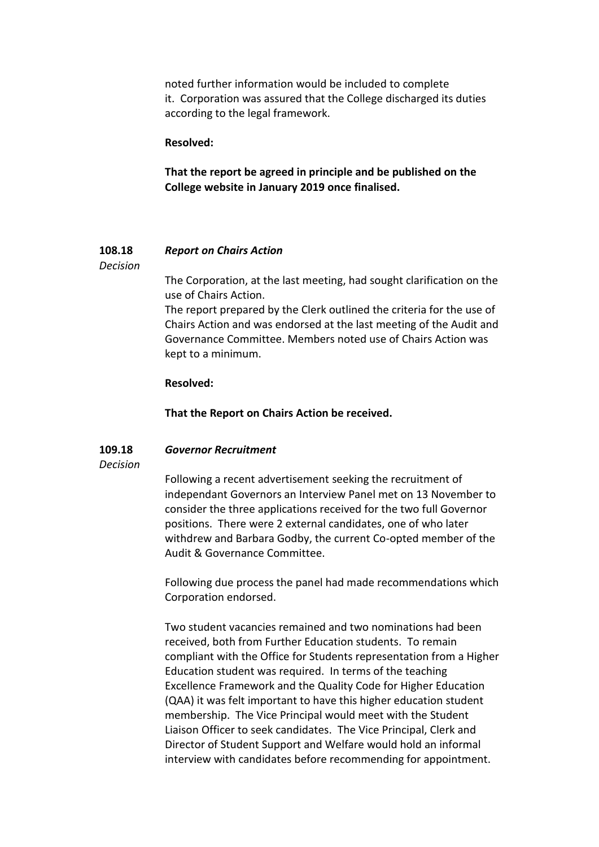noted further information would be included to complete it. Corporation was assured that the College discharged its duties according to the legal framework.

**Resolved:**

**That the report be agreed in principle and be published on the College website in January 2019 once finalised.**

#### **108.18** *Report on Chairs Action*

*Decision*

The Corporation, at the last meeting, had sought clarification on the use of Chairs Action.

The report prepared by the Clerk outlined the criteria for the use of Chairs Action and was endorsed at the last meeting of the Audit and Governance Committee. Members noted use of Chairs Action was kept to a minimum.

## **Resolved:**

**That the Report on Chairs Action be received.**

#### **109.18** *Governor Recruitment*

## *Decision*

Following a recent advertisement seeking the recruitment of independant Governors an Interview Panel met on 13 November to consider the three applications received for the two full Governor positions. There were 2 external candidates, one of who later withdrew and Barbara Godby, the current Co-opted member of the Audit & Governance Committee.

Following due process the panel had made recommendations which Corporation endorsed.

Two student vacancies remained and two nominations had been received, both from Further Education students. To remain compliant with the Office for Students representation from a Higher Education student was required. In terms of the teaching Excellence Framework and the Quality Code for Higher Education (QAA) it was felt important to have this higher education student membership. The Vice Principal would meet with the Student Liaison Officer to seek candidates. The Vice Principal, Clerk and Director of Student Support and Welfare would hold an informal interview with candidates before recommending for appointment.